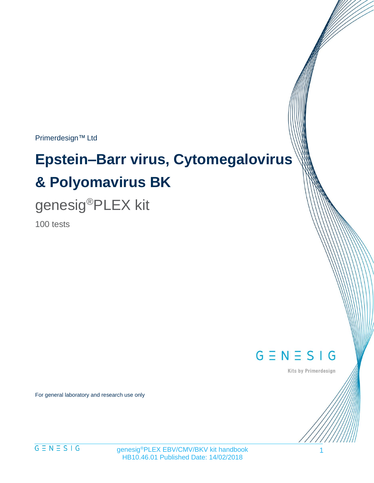Primerdesign™ Ltd

# **Epstein–Barr virus, Cytomegalovirus & Polyomavirus BK**

# genesig®PLEX kit

100 tests

 $G \equiv N \equiv S \mid G$ 

Kits by Primerdesign

For general laboratory and research use only

 $G \equiv N \equiv S \mid G$ 

genesig®PLEX EBV/CMV/BKV kit handbook HB10.46.01 Published Date: 14/02/2018

1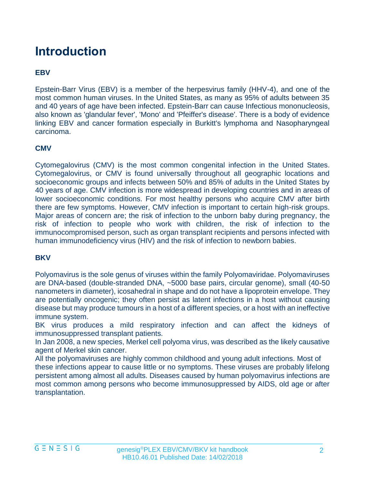# **Introduction**

#### **EBV**

Epstein-Barr Virus (EBV) is a member of the herpesvirus family (HHV-4), and one of the most common human viruses. In the United States, as many as 95% of adults between 35 and 40 years of age have been infected. Epstein-Barr can cause Infectious mononucleosis, also known as 'glandular fever', 'Mono' and 'Pfeiffer's disease'. There is a body of evidence linking EBV and cancer formation especially in Burkitt's lymphoma and Nasopharyngeal carcinoma.

#### **CMV**

Cytomegalovirus (CMV) is the most common congenital infection in the United States. Cytomegalovirus, or CMV is found universally throughout all geographic locations and socioeconomic groups and infects between 50% and 85% of adults in the United States by 40 years of age. CMV infection is more widespread in developing countries and in areas of lower socioeconomic conditions. For most healthy persons who acquire CMV after birth there are few symptoms. However, CMV infection is important to certain high-risk groups. Major areas of concern are; the risk of infection to the unborn baby during pregnancy, the risk of infection to people who work with children, the risk of infection to the immunocompromised person, such as organ transplant recipients and persons infected with human immunodeficiency virus (HIV) and the risk of infection to newborn babies.

#### **BKV**

Polyomavirus is the sole genus of viruses within the family Polyomaviridae. Polyomaviruses are DNA-based (double-stranded DNA, ~5000 base pairs, circular genome), small (40-50 nanometers in diameter), icosahedral in shape and do not have a lipoprotein envelope. They are potentially oncogenic; they often persist as latent infections in a host without causing disease but may produce tumours in a host of a different species, or a host with an ineffective immune system.

BK virus produces a mild respiratory infection and can affect the kidneys of immunosuppressed transplant patients.

In Jan 2008, a new species, Merkel cell polyoma virus, was described as the likely causative agent of Merkel skin cancer.

All the polyomaviruses are highly common childhood and young adult infections. Most of these infections appear to cause little or no symptoms. These viruses are probably lifelong persistent among almost all adults. Diseases caused by human polyomavirus infections are most common among persons who become immunosuppressed by AIDS, old age or after transplantation.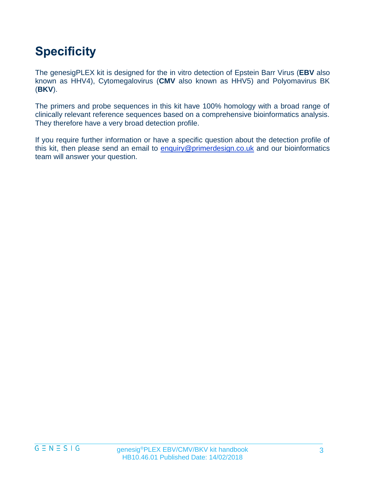# **Specificity**

The genesigPLEX kit is designed for the in vitro detection of Epstein Barr Virus (**EBV** also known as HHV4), Cytomegalovirus (**CMV** also known as HHV5) and Polyomavirus BK (**BKV**).

The primers and probe sequences in this kit have 100% homology with a broad range of clinically relevant reference sequences based on a comprehensive bioinformatics analysis. They therefore have a very broad detection profile.

If you require further information or have a specific question about the detection profile of this kit, then please send an email to [enquiry@primerdesign.co.uk](mailto:enquiry@primerdesign.co.uk) and our bioinformatics team will answer your question.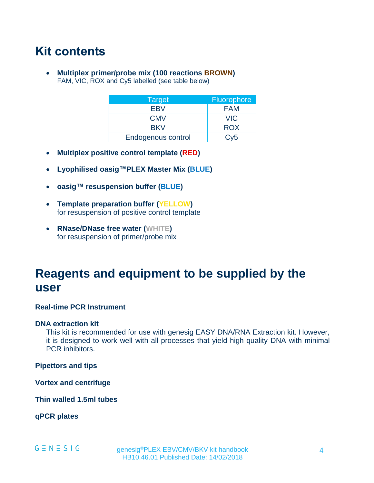## **Kit contents**

• **Multiplex primer/probe mix (100 reactions BROWN)** FAM, VIC, ROX and Cy5 labelled (see table below)

| Target             | <b>Fluorophore</b> |
|--------------------|--------------------|
| <b>EBV</b>         | <b>FAM</b>         |
| <b>CMV</b>         | <b>VIC</b>         |
| <b>BKV</b>         | <b>ROX</b>         |
| Endogenous control | Cv5                |

- **Multiplex positive control template (RED)**
- **Lyophilised oasig™PLEX Master Mix (BLUE)**
- **oasig™ resuspension buffer (BLUE)**
- **Template preparation buffer (YELLOW)** for resuspension of positive control template
- **RNase/DNase free water (WHITE)** for resuspension of primer/probe mix

## **Reagents and equipment to be supplied by the user**

#### **Real-time PCR Instrument**

#### **DNA extraction kit**

This kit is recommended for use with genesig EASY DNA/RNA Extraction kit. However, it is designed to work well with all processes that yield high quality DNA with minimal PCR inhibitors.

**Pipettors and tips**

**Vortex and centrifuge**

**Thin walled 1.5ml tubes**

**qPCR plates**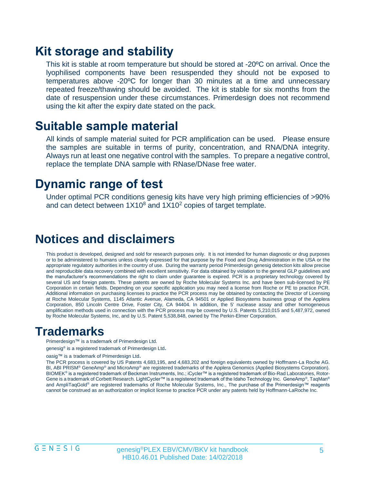### **Kit storage and stability**

This kit is stable at room temperature but should be stored at -20ºC on arrival. Once the lyophilised components have been resuspended they should not be exposed to temperatures above -20ºC for longer than 30 minutes at a time and unnecessary repeated freeze/thawing should be avoided. The kit is stable for six months from the date of resuspension under these circumstances. Primerdesign does not recommend using the kit after the expiry date stated on the pack.

### **Suitable sample material**

All kinds of sample material suited for PCR amplification can be used. Please ensure the samples are suitable in terms of purity, concentration, and RNA/DNA integrity. Always run at least one negative control with the samples. To prepare a negative control, replace the template DNA sample with RNase/DNase free water.

### **Dynamic range of test**

Under optimal PCR conditions genesig kits have very high priming efficiencies of >90% and can detect between  $1X10<sup>8</sup>$  and  $1X10<sup>2</sup>$  copies of target template.

### **Notices and disclaimers**

This product is developed, designed and sold for research purposes only. It is not intended for human diagnostic or drug purposes or to be administered to humans unless clearly expressed for that purpose by the Food and Drug Administration in the USA or the appropriate regulatory authorities in the country of use. During the warranty period Primerdesign genesig detection kits allow precise and reproducible data recovery combined with excellent sensitivity. For data obtained by violation to the general GLP guidelines and the manufacturer's recommendations the right to claim under guarantee is expired. PCR is a proprietary technology covered by several US and foreign patents. These patents are owned by Roche Molecular Systems Inc. and have been sub-licensed by PE Corporation in certain fields. Depending on your specific application you may need a license from Roche or PE to practice PCR. Additional information on purchasing licenses to practice the PCR process may be obtained by contacting the Director of Licensing at Roche Molecular Systems, 1145 Atlantic Avenue, Alameda, CA 94501 or Applied Biosystems business group of the Applera Corporation, 850 Lincoln Centre Drive, Foster City, CA 94404. In addition, the 5' nuclease assay and other homogeneous amplification methods used in connection with the PCR process may be covered by U.S. Patents 5,210,015 and 5,487,972, owned by Roche Molecular Systems, Inc, and by U.S. Patent 5,538,848, owned by The Perkin-Elmer Corporation.

### **Trademarks**

Primerdesign™ is a trademark of Primerdesign Ltd.

genesig<sup>®</sup> is a registered trademark of Primerdesign Ltd.

oasig™ is a trademark of Primerdesign Ltd.

The PCR process is covered by US Patents 4,683,195, and 4,683,202 and foreign equivalents owned by Hoffmann-La Roche AG. BI, ABI PRISM® GeneAmp® and MicroAmp® are registered trademarks of the Applera Genomics (Applied Biosystems Corporation). BIOMEK® is a registered trademark of Beckman Instruments, Inc.; iCycler™ is a registered trademark of Bio-Rad Laboratories, Rotor-Gene is a trademark of Corbett Research. LightCycler™ is a registered trademark of the Idaho Technology Inc. GeneAmp®, TaqMan® and AmpliTaqGold<sup>®</sup> are registered trademarks of Roche Molecular Systems, Inc., The purchase of the Primerdesign™ reagents cannot be construed as an authorization or implicit license to practice PCR under any patents held by Hoffmann-LaRoche Inc.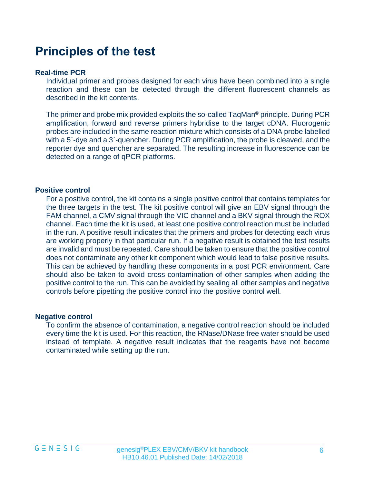### **Principles of the test**

#### **Real-time PCR**

Individual primer and probes designed for each virus have been combined into a single reaction and these can be detected through the different fluorescent channels as described in the kit contents.

The primer and probe mix provided exploits the so-called TaqMan® principle. During PCR amplification, forward and reverse primers hybridise to the target cDNA. Fluorogenic probes are included in the same reaction mixture which consists of a DNA probe labelled with a 5`-dye and a 3`-quencher. During PCR amplification, the probe is cleaved, and the reporter dye and quencher are separated. The resulting increase in fluorescence can be detected on a range of qPCR platforms.

#### **Positive control**

For a positive control, the kit contains a single positive control that contains templates for the three targets in the test. The kit positive control will give an EBV signal through the FAM channel, a CMV signal through the VIC channel and a BKV signal through the ROX channel. Each time the kit is used, at least one positive control reaction must be included in the run. A positive result indicates that the primers and probes for detecting each virus are working properly in that particular run. If a negative result is obtained the test results are invalid and must be repeated. Care should be taken to ensure that the positive control does not contaminate any other kit component which would lead to false positive results. This can be achieved by handling these components in a post PCR environment. Care should also be taken to avoid cross-contamination of other samples when adding the positive control to the run. This can be avoided by sealing all other samples and negative controls before pipetting the positive control into the positive control well.

#### **Negative control**

To confirm the absence of contamination, a negative control reaction should be included every time the kit is used. For this reaction, the RNase/DNase free water should be used instead of template. A negative result indicates that the reagents have not become contaminated while setting up the run.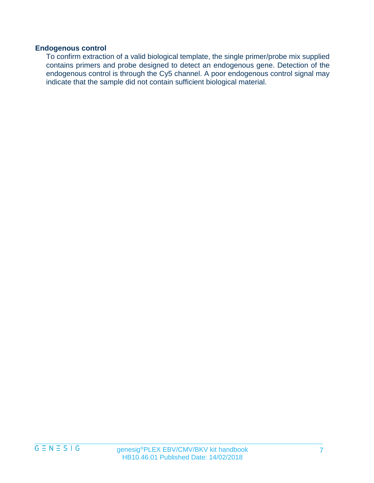#### **Endogenous control**

To confirm extraction of a valid biological template, the single primer/probe mix supplied contains primers and probe designed to detect an endogenous gene. Detection of the endogenous control is through the Cy5 channel. A poor endogenous control signal may indicate that the sample did not contain sufficient biological material.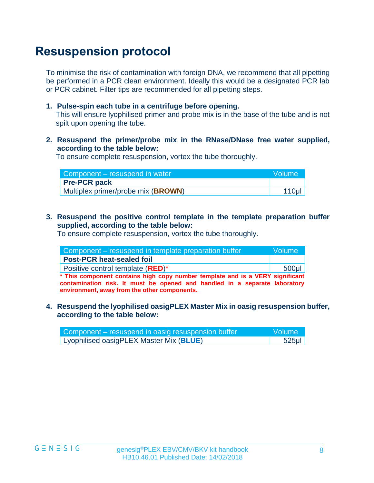## **Resuspension protocol**

To minimise the risk of contamination with foreign DNA, we recommend that all pipetting be performed in a PCR clean environment. Ideally this would be a designated PCR lab or PCR cabinet. Filter tips are recommended for all pipetting steps.

**1. Pulse-spin each tube in a centrifuge before opening.**

This will ensure lyophilised primer and probe mix is in the base of the tube and is not spilt upon opening the tube.

**2. Resuspend the primer/probe mix in the RNase/DNase free water supplied, according to the table below:** 

To ensure complete resuspension, vortex the tube thoroughly.

| Component – resuspend in water              | Wolume <sup>1</sup> |
|---------------------------------------------|---------------------|
| <b>Pre-PCR pack</b>                         |                     |
| Multiplex primer/probe mix ( <b>BROWN</b> ) | 110 <sub>µ</sub>    |

**3. Resuspend the positive control template in the template preparation buffer supplied, according to the table below:**

To ensure complete resuspension, vortex the tube thoroughly.

| Component – resuspend in template preparation buffer                          | lVolume l |
|-------------------------------------------------------------------------------|-----------|
| <b>Post-PCR heat-sealed foil</b>                                              |           |
| Positive control template (RED)*                                              | $500$ µl  |
| * This component contains high copy number template and is a VERY significant |           |

**contamination risk. It must be opened and handled in a separate laboratory environment, away from the other components.**

**4. Resuspend the lyophilised oasigPLEX Master Mix in oasig resuspension buffer, according to the table below:**

| Component – resuspend in oasig resuspension buffer | <b>Nolume</b> |
|----------------------------------------------------|---------------|
| Lyophilised oasigPLEX Master Mix (BLUE)            | $525$ µl      |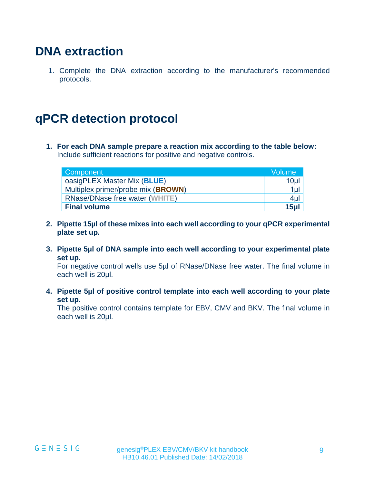### **DNA extraction**

1. Complete the DNA extraction according to the manufacturer's recommended protocols.

## **qPCR detection protocol**

**1. For each DNA sample prepare a reaction mix according to the table below:**  Include sufficient reactions for positive and negative controls.

| Component                          | <b>Volume</b> |
|------------------------------------|---------------|
| oasigPLEX Master Mix (BLUE)        | 10µl          |
| Multiplex primer/probe mix (BROWN) | $1 \mu$       |
| RNase/DNase free water (WHITE)     | $4\mu$        |
| <b>Final volume</b>                | $15$ ul       |

- **2. Pipette 15µl of these mixes into each well according to your qPCR experimental plate set up.**
- **3. Pipette 5µl of DNA sample into each well according to your experimental plate set up.**

For negative control wells use 5µl of RNase/DNase free water. The final volume in each well is 20µl.

**4. Pipette 5µl of positive control template into each well according to your plate set up.**

The positive control contains template for EBV, CMV and BKV. The final volume in each well is 20µl.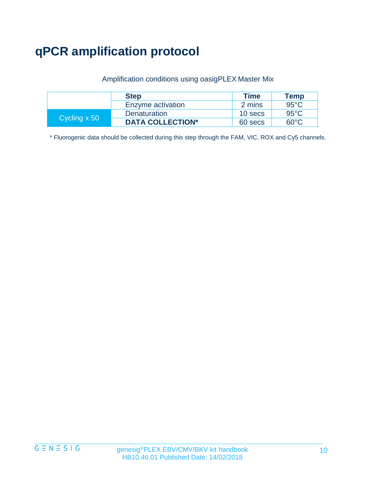# **qPCR amplification protocol**

#### Amplification conditions using oasigPLEX Master Mix

|              | <b>Step</b>             | <b>Time</b> | Temp           |
|--------------|-------------------------|-------------|----------------|
|              | Enzyme activation       | 2 mins      | $95^{\circ}$ C |
| Cycling x 50 | Denaturation            | 10 secs     | 95°C.          |
|              | <b>DATA COLLECTION*</b> | 60 secs     | 60°C.          |

\* Fluorogenic data should be collected during this step through the FAM, VIC, ROX and Cy5 channels.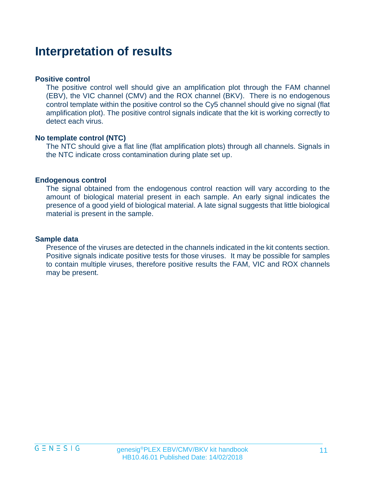### **Interpretation of results**

#### **Positive control**

The positive control well should give an amplification plot through the FAM channel (EBV), the VIC channel (CMV) and the ROX channel (BKV). There is no endogenous control template within the positive control so the Cy5 channel should give no signal (flat amplification plot). The positive control signals indicate that the kit is working correctly to detect each virus.

#### **No template control (NTC)**

The NTC should give a flat line (flat amplification plots) through all channels. Signals in the NTC indicate cross contamination during plate set up.

#### **Endogenous control**

The signal obtained from the endogenous control reaction will vary according to the amount of biological material present in each sample. An early signal indicates the presence of a good yield of biological material. A late signal suggests that little biological material is present in the sample.

#### **Sample data**

Presence of the viruses are detected in the channels indicated in the kit contents section. Positive signals indicate positive tests for those viruses. It may be possible for samples to contain multiple viruses, therefore positive results the FAM, VIC and ROX channels may be present.